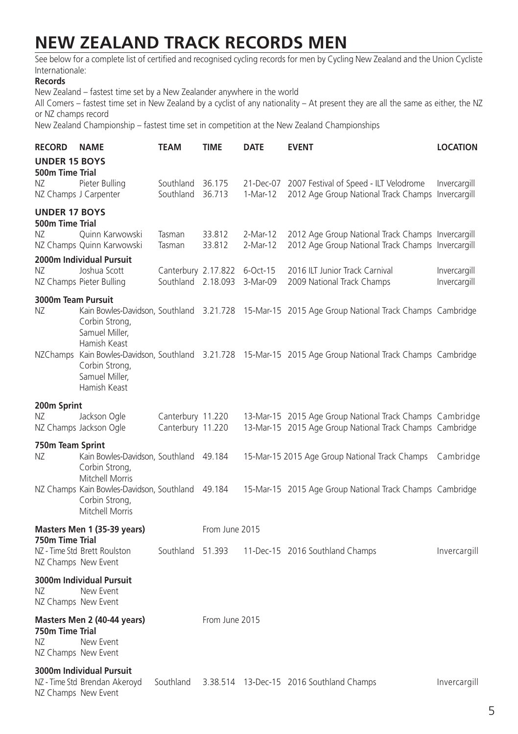## **NEW ZEALAND TRACK RECORDS MEN**

See below for a complete list of certified and recognised cycling records for men by Cycling New Zealand and the Union Cycliste Internationale:

## **Records**

New Zealand – fastest time set by a New Zealander anywhere in the world

All Comers – fastest time set in New Zealand by a cyclist of any nationality – At present they are all the same as either, the NZ or NZ champs record

New Zealand Championship – fastest time set in competition at the New Zealand Championships

| <b>RECORD</b>                                 | <b>NAME</b>                                                                                              | TEAM                                                        | TIME             | <b>DATE</b>          | <b>EVENT</b>                                                                                                         | <b>LOCATION</b>              |  |  |
|-----------------------------------------------|----------------------------------------------------------------------------------------------------------|-------------------------------------------------------------|------------------|----------------------|----------------------------------------------------------------------------------------------------------------------|------------------------------|--|--|
| <b>UNDER 15 BOYS</b><br>500m Time Trial       |                                                                                                          |                                                             |                  |                      |                                                                                                                      |                              |  |  |
| NZ.<br>NZ Champs J Carpenter                  | Pieter Bulling                                                                                           | Southland 36.175<br>Southland                               | 36.713           | 1-Mar-12             | 21-Dec-07 2007 Festival of Speed - ILT Velodrome<br>2012 Age Group National Track Champs Invercargill                | Invercargill                 |  |  |
| <b>UNDER 17 BOYS</b><br>500m Time Trial       |                                                                                                          |                                                             |                  |                      |                                                                                                                      |                              |  |  |
| NZ                                            | Quinn Karwowski<br>NZ Champs Quinn Karwowski                                                             | Tasman<br>Tasman                                            | 33.812<br>33.812 | 2-Mar-12<br>2-Mar-12 | 2012 Age Group National Track Champs Invercargill<br>2012 Age Group National Track Champs Invercargill               |                              |  |  |
|                                               | 2000m Individual Pursuit                                                                                 |                                                             |                  |                      |                                                                                                                      |                              |  |  |
| NZ.                                           | Joshua Scott<br>NZ Champs Pieter Bulling                                                                 | Canterbury 2.17.822 6-Oct-15<br>Southland 2.18.093 3-Mar-09 |                  |                      | 2016 ILT Junior Track Carnival<br>2009 National Track Champs                                                         | Invercargill<br>Invercargill |  |  |
| 3000m Team Pursuit                            |                                                                                                          |                                                             |                  |                      |                                                                                                                      |                              |  |  |
| NZ                                            | Corbin Strong,<br>Samuel Miller,<br>Hamish Keast                                                         |                                                             |                  |                      | Kain Bowles-Davidson, Southland 3.21.728 15-Mar-15 2015 Age Group National Track Champs Cambridge                    |                              |  |  |
|                                               | Corbin Strong,<br>Samuel Miller,<br>Hamish Keast                                                         |                                                             |                  |                      | NZChamps Kain Bowles-Davidson, Southland 3.21.728 15-Mar-15 2015 Age Group National Track Champs Cambridge           |                              |  |  |
| 200m Sprint                                   |                                                                                                          |                                                             |                  |                      |                                                                                                                      |                              |  |  |
| NZ.                                           | Jackson Ogle<br>NZ Champs Jackson Ogle                                                                   | Canterbury 11.220<br>Canterbury 11.220                      |                  |                      | 13-Mar-15 2015 Age Group National Track Champs Cambridge<br>13-Mar-15 2015 Age Group National Track Champs Cambridge |                              |  |  |
| 750m Team Sprint<br>NZ                        | Kain Bowles-Davidson, Southland 49.184<br>Corbin Strong,                                                 |                                                             |                  |                      | 15-Mar-15 2015 Age Group National Track Champs                                                                       | Cambridge                    |  |  |
|                                               | Mitchell Morris<br>NZ Champs Kain Bowles-Davidson, Southland 49.184<br>Corbin Strong,<br>Mitchell Morris |                                                             |                  |                      | 15-Mar-15 2015 Age Group National Track Champs Cambridge                                                             |                              |  |  |
| Masters Men 1 (35-39 years)                   |                                                                                                          |                                                             | From June 2015   |                      |                                                                                                                      |                              |  |  |
| 750m Time Trial<br>NZ Champs New Event        | NZ - Time Std Brett Roulston                                                                             | Southland 51.393                                            |                  |                      | 11-Dec-15 2016 Southland Champs                                                                                      | Invercargill                 |  |  |
| NZ.<br>NZ Champs New Event                    | 3000m Individual Pursuit<br>New Event                                                                    |                                                             |                  |                      |                                                                                                                      |                              |  |  |
| 750m Time Trial<br>NZ.<br>NZ Champs New Event | Masters Men 2 (40-44 years)<br>New Event                                                                 |                                                             | From June 2015   |                      |                                                                                                                      |                              |  |  |
| NZ Champs New Event                           | 3000m Individual Pursuit<br>NZ - Time Std Brendan Akeroyd                                                | Southland                                                   |                  |                      | 3.38.514 13-Dec-15 2016 Southland Champs                                                                             | Invercargill                 |  |  |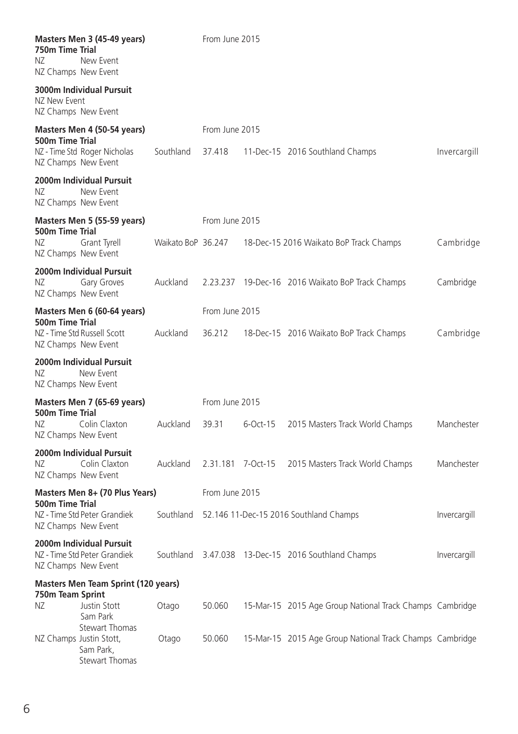| 750m Time Trial<br>ΝZ<br>NZ Champs New Event            | Masters Men 3 (45-49 years)<br>New Event                                        |                                                  | From June 2015    |              |                                                          |              |  |  |  |
|---------------------------------------------------------|---------------------------------------------------------------------------------|--------------------------------------------------|-------------------|--------------|----------------------------------------------------------|--------------|--|--|--|
| NZ New Event<br>NZ Champs New Event                     | 3000m Individual Pursuit                                                        |                                                  |                   |              |                                                          |              |  |  |  |
| 500m Time Trial                                         | Masters Men 4 (50-54 years)                                                     |                                                  | From June 2015    |              |                                                          |              |  |  |  |
| NZ Champs New Event                                     | NZ - Time Std Roger Nicholas                                                    | Southland                                        | 37.418            |              | 11-Dec-15 2016 Southland Champs                          | Invercargill |  |  |  |
| NZ.<br>NZ Champs New Event                              | 2000m Individual Pursuit<br>New Event                                           |                                                  |                   |              |                                                          |              |  |  |  |
| 500m Time Trial                                         | Masters Men 5 (55-59 years)                                                     |                                                  | From June 2015    |              |                                                          |              |  |  |  |
| NZ                                                      | Grant Tyrell<br>NZ Champs New Event                                             | Waikato BoP 36.247                               |                   |              | 18-Dec-15 2016 Waikato BoP Track Champs                  | Cambridge    |  |  |  |
| NZ.<br>NZ Champs New Event                              | 2000m Individual Pursuit<br>Gary Groves                                         | Auckland                                         |                   |              | 2.23.237 19-Dec-16 2016 Waikato BoP Track Champs         | Cambridge    |  |  |  |
| 500m Time Trial                                         | Masters Men 6 (60-64 years)                                                     |                                                  | From June 2015    |              |                                                          |              |  |  |  |
| NZ Champs New Event                                     | NZ - Time Std Russell Scott                                                     | Auckland                                         |                   |              | 36.212 18-Dec-15 2016 Waikato BoP Track Champs           | Cambridge    |  |  |  |
| NZ.<br>NZ Champs New Event                              | 2000m Individual Pursuit<br>New Event                                           |                                                  |                   |              |                                                          |              |  |  |  |
|                                                         | Masters Men 7 (65-69 years)                                                     |                                                  | From June 2015    |              |                                                          |              |  |  |  |
| 500m Time Trial<br>NZ.<br>NZ Champs New Event           | Colin Claxton                                                                   | Auckland                                         | 39.31             | 6-Oct-15     | 2015 Masters Track World Champs                          | Manchester   |  |  |  |
| ΝZ<br>NZ Champs New Event                               | 2000m Individual Pursuit<br>Colin Claxton                                       | Auckland                                         | 2.31.181 7-Oct-15 |              | 2015 Masters Track World Champs                          | Manchester   |  |  |  |
| Masters Men 8+ (70 Plus Years)<br>500m Time Trial       |                                                                                 | From June 2015                                   |                   |              |                                                          |              |  |  |  |
| NZ Champs New Event                                     | NZ - Time Std Peter Grandiek                                                    | Southland 52.146 11-Dec-15 2016 Southland Champs |                   | Invercargill |                                                          |              |  |  |  |
| NZ Champs New Event                                     | 2000m Individual Pursuit<br>NZ - Time Std Peter Grandiek                        |                                                  |                   |              | Southland 3.47.038 13-Dec-15 2016 Southland Champs       | Invercargill |  |  |  |
| Masters Men Team Sprint (120 years)<br>750m Team Sprint |                                                                                 |                                                  |                   |              |                                                          |              |  |  |  |
| ΝZ                                                      | Justin Stott<br>Sam Park                                                        | Otago                                            | 50.060            |              | 15-Mar-15 2015 Age Group National Track Champs Cambridge |              |  |  |  |
|                                                         | Stewart Thomas<br>NZ Champs Justin Stott,<br>Sam Park,<br><b>Stewart Thomas</b> | Otago                                            | 50.060            |              | 15-Mar-15 2015 Age Group National Track Champs Cambridge |              |  |  |  |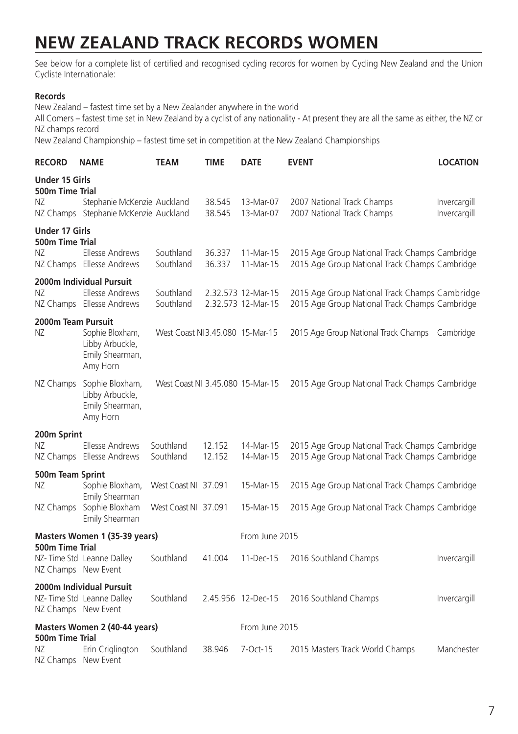## **NEW ZEALAND TRACK RECORDS WOMEN**

See below for a complete list of certified and recognised cycling records for women by Cycling New Zealand and the Union Cycliste Internationale:

## **Records**

New Zealand – fastest time set by a New Zealander anywhere in the world

All Comers – fastest time set in New Zealand by a cyclist of any nationality - At present they are all the same as either, the NZ or NZ champs record

New Zealand Championship – fastest time set in competition at the New Zealand Championships

| <b>RECORD</b>                                  | <b>NAME</b>                                                                     | <b>TEAM</b>                                  | TIME             | <b>DATE</b>                              | <b>EVENT</b>                                                                                     | <b>LOCATION</b>              |  |
|------------------------------------------------|---------------------------------------------------------------------------------|----------------------------------------------|------------------|------------------------------------------|--------------------------------------------------------------------------------------------------|------------------------------|--|
| <b>Under 15 Girls</b><br>500m Time Trial<br>NZ | Stephanie McKenzie Auckland<br>NZ Champs Stephanie McKenzie Auckland            |                                              | 38.545<br>38.545 | 13-Mar-07<br>13-Mar-07                   | 2007 National Track Champs<br>2007 National Track Champs                                         | Invercargill<br>Invercargill |  |
| <b>Under 17 Girls</b><br>500m Time Trial<br>ΝZ | Ellesse Andrews<br>NZ Champs Ellesse Andrews                                    | Southland<br>Southland                       | 36.337<br>36.337 | 11-Mar-15<br>11-Mar-15                   | 2015 Age Group National Track Champs Cambridge<br>2015 Age Group National Track Champs Cambridge |                              |  |
| ΝZ                                             | 2000m Individual Pursuit<br>Ellesse Andrews<br>NZ Champs Ellesse Andrews        | Southland<br>Southland                       |                  | 2.32.573 12-Mar-15<br>2.32.573 12-Mar-15 | 2015 Age Group National Track Champs Cambridge<br>2015 Age Group National Track Champs Cambridge |                              |  |
| 2000m Team Pursuit<br>NZ.                      | Sophie Bloxham,<br>Libby Arbuckle,<br>Emily Shearman,<br>Amy Horn               | West Coast NI 3.45.080 15-Mar-15             |                  |                                          | 2015 Age Group National Track Champs                                                             | Cambridge                    |  |
|                                                | NZ Champs Sophie Bloxham,<br>Libby Arbuckle,<br>Emily Shearman,<br>Amy Horn     | West Coast NI 3.45.080 15-Mar-15             |                  |                                          | 2015 Age Group National Track Champs Cambridge                                                   |                              |  |
| 200m Sprint<br>ΝZ                              | Ellesse Andrews<br>NZ Champs Ellesse Andrews                                    | Southland<br>Southland                       | 12.152<br>12.152 | 14-Mar-15<br>14-Mar-15                   | 2015 Age Group National Track Champs Cambridge<br>2015 Age Group National Track Champs Cambridge |                              |  |
| 500m Team Sprint<br>ΝZ                         | Sophie Bloxham,<br>Emily Shearman<br>NZ Champs Sophie Bloxham<br>Emily Shearman | West Coast NI 37.091<br>West Coast NL 37.091 |                  | 15-Mar-15<br>15-Mar-15                   | 2015 Age Group National Track Champs Cambridge<br>2015 Age Group National Track Champs Cambridge |                              |  |
|                                                | Masters Women 1 (35-39 years)                                                   |                                              |                  | From June 2015                           |                                                                                                  |                              |  |
| 500m Time Trial<br>NZ Champs New Event         | NZ- Time Std Leanne Dalley                                                      | Southland                                    | 41.004           | 11-Dec-15                                | 2016 Southland Champs                                                                            | Invercargill                 |  |
| NZ Champs New Event                            | 2000m Individual Pursuit<br>NZ- Time Std Leanne Dalley                          | Southland                                    |                  | 2.45.956 12-Dec-15                       | 2016 Southland Champs                                                                            | Invercargill                 |  |
| Masters Women 2 (40-44 years)                  |                                                                                 |                                              |                  | From June 2015                           |                                                                                                  |                              |  |
| 500m Time Trial<br>ΝZ<br>NZ Champs New Event   | Erin Criglington                                                                | Southland                                    | 38.946           | 7-Oct-15                                 | 2015 Masters Track World Champs                                                                  | Manchester                   |  |